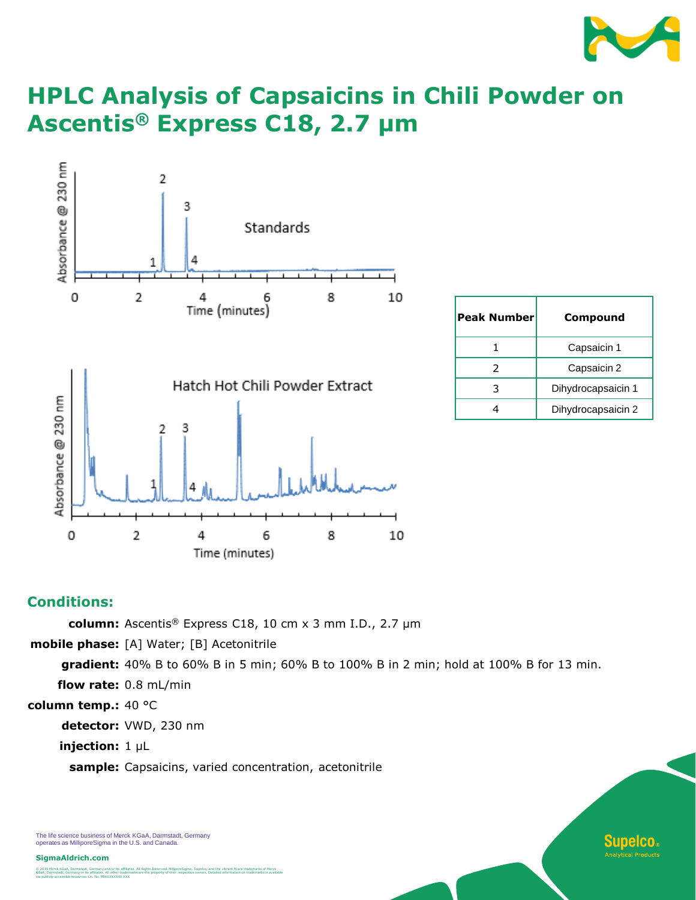

**Supelco.** al Producte

# **HPLC Analysis of Capsaicins in Chili Powder on Ascentis® Express C18, 2.7 µm**



| <b>Peak Number</b> | Compound           |
|--------------------|--------------------|
|                    | Capsaicin 1        |
| 2                  | Capsaicin 2        |
|                    | Dihydrocapsaicin 1 |
|                    | Dihydrocapsaicin 2 |

### **Conditions:**

**column:** Ascentis® Express C18, 10 cm x 3 mm I.D., 2.7 µm

**mobile phase:** [A] Water; [B] Acetonitrile

**gradient:** 40% B to 60% B in 5 min; 60% B to 100% B in 2 min; hold at 100% B for 13 min. **flow rate:** 0.8 mL/min

**column temp.:** 40 °C

**detector:** VWD, 230 nm

**injection:** 1 µL

**sample:** Capsaicins, varied concentration, acetonitrile

The life science business of Merck KGaA, Darmstadt, Germany operates as MilliporeSigma in the U.S. and Canada.

**SigmaAldrich.com**